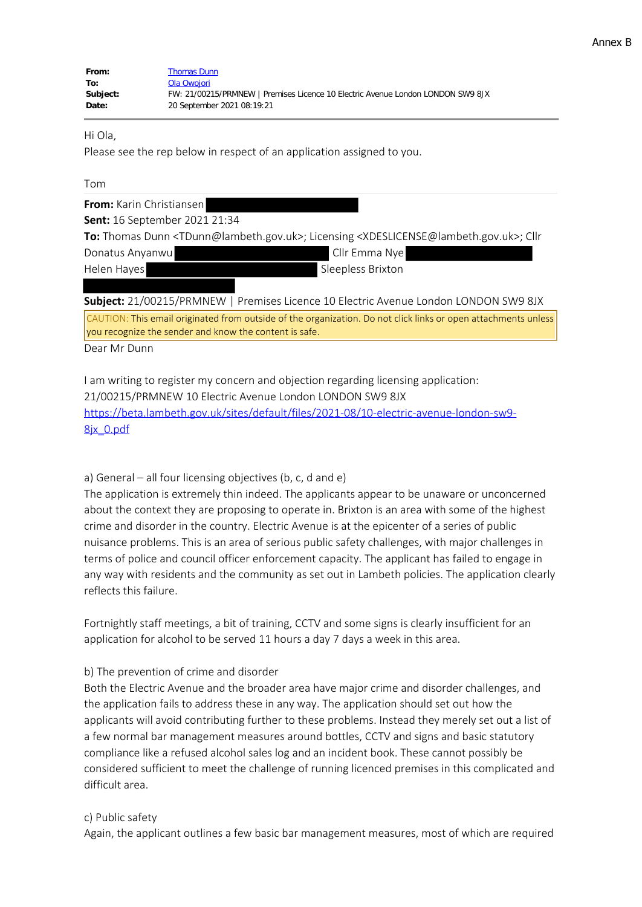| From:    | <b>Thomas Dunn</b>                                                              |  |
|----------|---------------------------------------------------------------------------------|--|
| To:      | Ola Owojori                                                                     |  |
| Subject: | FW: 21/00215/PRMNEW   Premises Licence 10 Electric Avenue London LONDON SW9 8JX |  |
| Date:    | 20 September 2021 08:19:21                                                      |  |

Hi Ola,

Please see the rep below in respect of an application assigned to you.

| ۰, |  |
|----|--|
|----|--|

| From: Karin Christiansen             |                                                                                                                                          |
|--------------------------------------|------------------------------------------------------------------------------------------------------------------------------------------|
| <b>Sent:</b> 16 September 2021 21:34 |                                                                                                                                          |
|                                      | To: Thomas Dunn <tdunn@lambeth.gov.uk>; Licensing <xdeslicense@lambeth.gov.uk>; Cllr</xdeslicense@lambeth.gov.uk></tdunn@lambeth.gov.uk> |
| Donatus Anyanwu                      | Cllr Emma Nye                                                                                                                            |
| Helen Hayes                          | Sleepless Brixton                                                                                                                        |
|                                      |                                                                                                                                          |
|                                      | Subject: 21/00215/PRMNEW   Premises Licence 10 Electric Avenue London LONDON SW9 8JX                                                     |
|                                      | CAUTION: This email originated from outside of the organization. Do not click links or open attachments unless                           |

you recognize the sender and know the content is safe.

Dear Mr Dunn

I am writing to register my concern and objection regarding licensing application: 21/00215/PRMNEW 10 Electric Avenue London LONDON SW9 8JX https://beta.lambeth.gov.uk/sites/default/files/2021-08/10-electric-avenue-london-sw9- 8jx\_0.pdf

a) General – all four licensing objectives (b, c, d and e)

The application is extremely thin indeed. The applicants appear to be unaware or unconcerned about the context they are proposing to operate in. Brixton is an area with some of the highest crime and disorder in the country. Electric Avenue is at the epicenter of a series of public nuisance problems. This is an area of serious public safety challenges, with major challenges in terms of police and council officer enforcement capacity. The applicant has failed to engage in any way with residents and the community as set out in Lambeth policies. The application clearly reflects this failure.

Fortnightly staff meetings, a bit of training, CCTV and some signs is clearly insufficient for an application for alcohol to be served 11 hours a day 7 days a week in this area.

## b) The prevention of crime and disorder

Both the Electric Avenue and the broader area have major crime and disorder challenges, and the application fails to address these in any way. The application should set out how the applicants will avoid contributing further to these problems. Instead they merely set out a list of a few normal bar management measures around bottles, CCTV and signs and basic statutory compliance like a refused alcohol sales log and an incident book. These cannot possibly be considered sufficient to meet the challenge of running licenced premises in this complicated and difficult area.

## c) Public safety

Again, the applicant outlines a few basic bar management measures, most of which are required